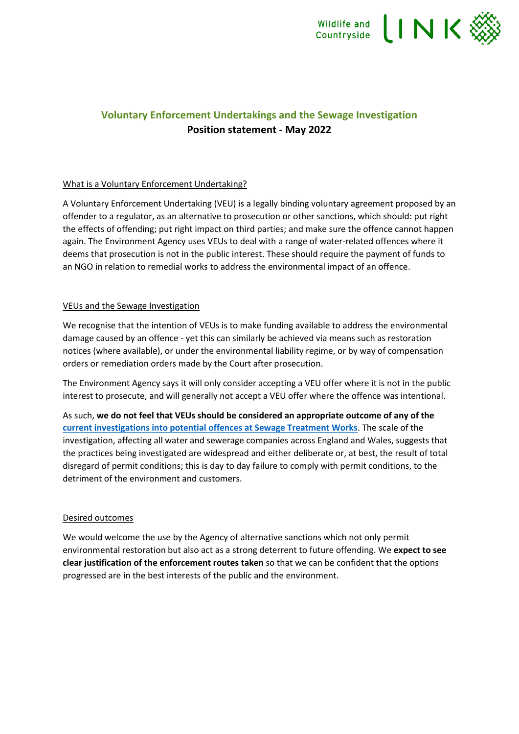

## **Voluntary Enforcement Undertakings and the Sewage Investigation Position statement - May 2022**

## What is a Voluntary Enforcement Undertaking?

A Voluntary Enforcement Undertaking (VEU) is a legally binding voluntary agreement proposed by an offender to a regulator, as an alternative to prosecution or other sanctions, which should: put right the effects of offending; put right impact on third parties; and make sure the offence cannot happen again. The Environment Agency uses VEUs to deal with a range of water-related offences where it deems that prosecution is not in the public interest. These should require the payment of funds to an NGO in relation to remedial works to address the environmental impact of an offence.

## VEUs and the Sewage Investigation

We recognise that the intention of VEUs is to make funding available to address the environmental damage caused by an offence - yet this can similarly be achieved via means such as restoration notices (where available), or under the environmental liability regime, or by way of compensation orders or remediation orders made by the Court after prosecution.

The Environment Agency says it will only consider accepting a VEU offer where it is not in the public interest to prosecute, and will generally not accept a VEU offer where the offence was intentional.

As such, **we do not feel that VEUs should be considered an appropriate outcome of any of the [current investigations into potential offences at Sewage Treatment Works](https://www.ofwat.gov.uk/joint-ofwat-environment-agency-and-defra-announcement-november-2021/)**. The scale of the investigation, affecting all water and sewerage companies across England and Wales, suggests that the practices being investigated are widespread and either deliberate or, at best, the result of total disregard of permit conditions; this is day to day failure to comply with permit conditions, to the detriment of the environment and customers.

## Desired outcomes

We would welcome the use by the Agency of alternative sanctions which not only permit environmental restoration but also act as a strong deterrent to future offending. We **expect to see clear justification of the enforcement routes taken** so that we can be confident that the options progressed are in the best interests of the public and the environment.